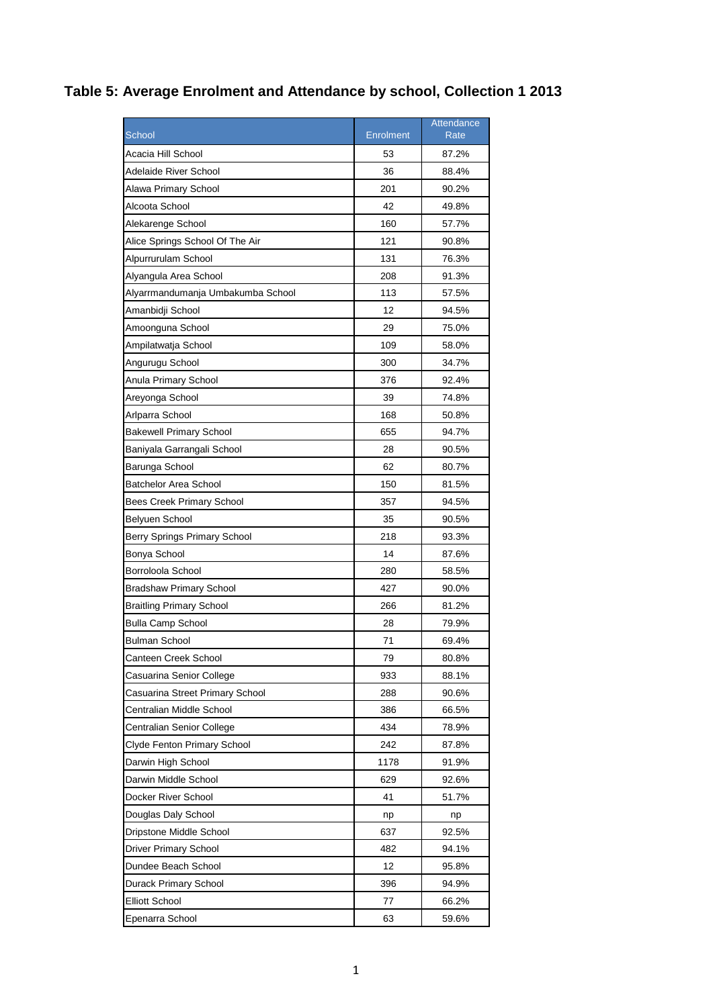## **Table 5: Average Enrolment and Attendance by school, Collection 1 2013**

|                                    |                  | Attendance |
|------------------------------------|------------------|------------|
| <b>School</b>                      | <b>Enrolment</b> | Rate       |
| Acacia Hill School                 | 53               | 87.2%      |
| Adelaide River School              | 36               | 88.4%      |
| Alawa Primary School               | 201              | 90.2%      |
| Alcoota School                     | 42               | 49.8%      |
| Alekarenge School                  | 160              | 57.7%      |
| Alice Springs School Of The Air    | 121              | 90.8%      |
| Alpurrurulam School                | 131              | 76.3%      |
| Alyangula Area School              | 208              | 91.3%      |
| Alyarrmandumanja Umbakumba School  | 113              | 57.5%      |
| Amanbidji School                   | 12               | 94.5%      |
| Amoonguna School                   | 29               | 75.0%      |
| Ampilatwatja School                | 109              | 58.0%      |
| Angurugu School                    | 300              | 34.7%      |
| Anula Primary School               | 376              | 92.4%      |
| Areyonga School                    | 39               | 74.8%      |
| Arlparra School                    | 168              | 50.8%      |
| <b>Bakewell Primary School</b>     | 655              | 94.7%      |
| Baniyala Garrangali School         | 28               | 90.5%      |
| Barunga School                     | 62               | 80.7%      |
| <b>Batchelor Area School</b>       | 150              | 81.5%      |
| <b>Bees Creek Primary School</b>   | 357              | 94.5%      |
| Belyuen School                     | 35               | 90.5%      |
| Berry Springs Primary School       | 218              | 93.3%      |
| Bonya School                       | 14               | 87.6%      |
| Borroloola School                  | 280              | 58.5%      |
| <b>Bradshaw Primary School</b>     | 427              | 90.0%      |
| <b>Braitling Primary School</b>    | 266              | 81.2%      |
| <b>Bulla Camp School</b>           | 28               | 79.9%      |
| <b>Bulman School</b>               | 71               | 69.4%      |
| Canteen Creek School               | 79               | 80.8%      |
| Casuarina Senior College           | 933              | 88.1%      |
| Casuarina Street Primary School    | 288              | 90.6%      |
| Centralian Middle School           | 386              | 66.5%      |
| Centralian Senior College          | 434              | 78.9%      |
| <b>Clyde Fenton Primary School</b> | 242              | 87.8%      |
| Darwin High School                 | 1178             | 91.9%      |
| Darwin Middle School               | 629              | 92.6%      |
| Docker River School                | 41               | 51.7%      |
| Douglas Daly School                | np               | np         |
| Dripstone Middle School            | 637              | 92.5%      |
| <b>Driver Primary School</b>       | 482              | 94.1%      |
| Dundee Beach School                | 12               | 95.8%      |
| Durack Primary School              | 396              | 94.9%      |
| <b>Elliott School</b>              | 77               | 66.2%      |
| Epenarra School                    | 63               | 59.6%      |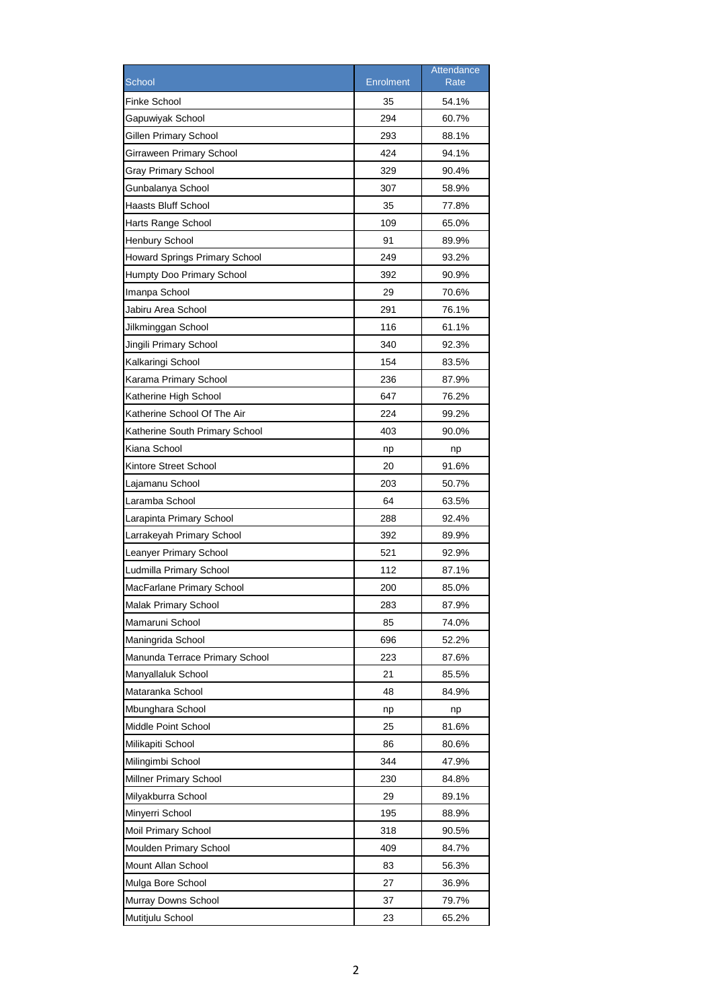|                                      |                  | Attendance |
|--------------------------------------|------------------|------------|
| School                               | <b>Enrolment</b> | Rate       |
| Finke School                         | 35               | 54.1%      |
| Gapuwiyak School                     | 294              | 60.7%      |
| Gillen Primary School                | 293              | 88.1%      |
| Girraween Primary School             | 424              | 94.1%      |
| <b>Gray Primary School</b>           | 329              | 90.4%      |
| Gunbalanya School                    | 307              | 58.9%      |
| Haasts Bluff School                  | 35               | 77.8%      |
| Harts Range School                   | 109              | 65.0%      |
| <b>Henbury School</b>                | 91               | 89.9%      |
| <b>Howard Springs Primary School</b> | 249              | 93.2%      |
| Humpty Doo Primary School            | 392              | 90.9%      |
| Imanpa School                        | 29               | 70.6%      |
| Jabiru Area School                   | 291              | 76.1%      |
| Jilkminggan School                   | 116              | 61.1%      |
| Jingili Primary School               | 340              | 92.3%      |
| Kalkaringi School                    | 154              | 83.5%      |
| Karama Primary School                | 236              | 87.9%      |
| Katherine High School                | 647              | 76.2%      |
| Katherine School Of The Air          | 224              | 99.2%      |
| Katherine South Primary School       | 403              | 90.0%      |
| Kiana School                         | np               | np         |
| Kintore Street School                | 20               | 91.6%      |
| Lajamanu School                      | 203              | 50.7%      |
| Laramba School                       | 64               | 63.5%      |
| Larapinta Primary School             | 288              | 92.4%      |
| Larrakeyah Primary School            | 392              | 89.9%      |
| Leanyer Primary School               | 521              | 92.9%      |
| Ludmilla Primary School              | 112              | 87.1%      |
| MacFarlane Primary School            | 200              | 85.0%      |
| Malak Primary School                 | 283              | 87.9%      |
| Mamaruni School                      | 85               | 74.0%      |
| Maningrida School                    | 696              | 52.2%      |
| Manunda Terrace Primary School       | 223              | 87.6%      |
| Manyallaluk School                   | 21               | 85.5%      |
| Mataranka School                     | 48               | 84.9%      |
| Mbunghara School                     | np               | np         |
| Middle Point School                  | 25               | 81.6%      |
| Milikapiti School                    | 86               | 80.6%      |
| Milingimbi School                    | 344              | 47.9%      |
| Millner Primary School               | 230              | 84.8%      |
| Milyakburra School                   | 29               | 89.1%      |
| Minyerri School                      | 195              | 88.9%      |
| Moil Primary School                  | 318              | 90.5%      |
| Moulden Primary School               | 409              | 84.7%      |
| Mount Allan School                   | 83               | 56.3%      |
| Mulga Bore School                    | 27               | 36.9%      |
| Murray Downs School                  | 37               | 79.7%      |
| Mutitjulu School                     | 23               | 65.2%      |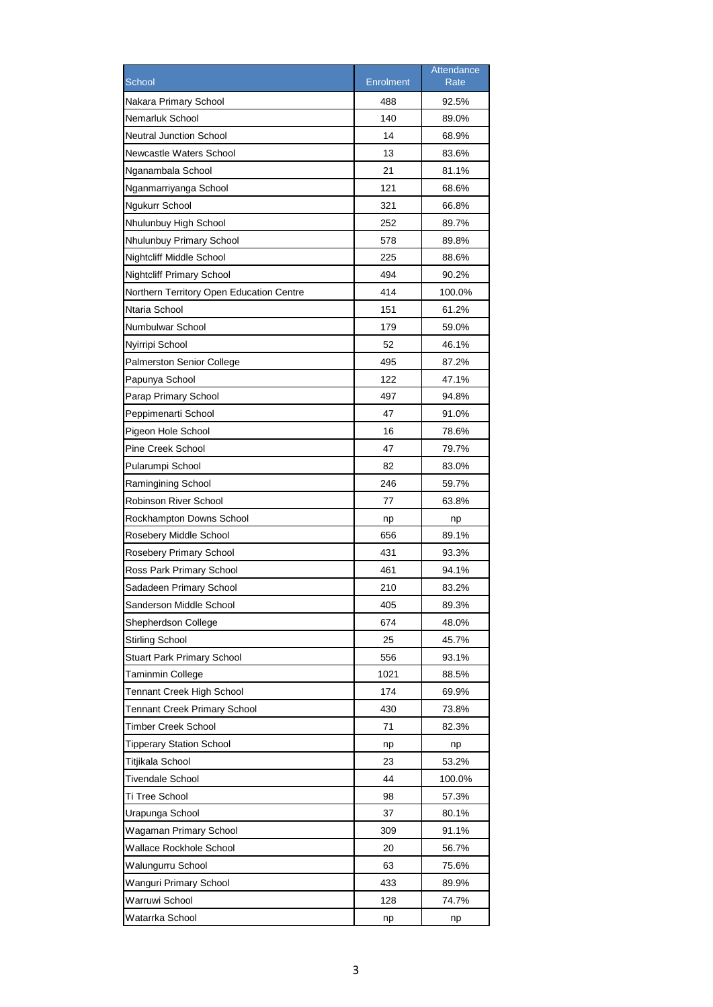|                                          |                  | Attendance |
|------------------------------------------|------------------|------------|
| School                                   | <b>Enrolment</b> | Rate       |
| Nakara Primary School                    | 488              | 92.5%      |
| Nemarluk School                          | 140              | 89.0%      |
| <b>Neutral Junction School</b>           | 14               | 68.9%      |
| Newcastle Waters School                  | 13               | 83.6%      |
| Nganambala School                        | 21               | 81.1%      |
| Nganmarriyanga School                    | 121              | 68.6%      |
| Ngukurr School                           | 321              | 66.8%      |
| Nhulunbuy High School                    | 252              | 89.7%      |
| Nhulunbuy Primary School                 | 578              | 89.8%      |
| Nightcliff Middle School                 | 225              | 88.6%      |
| <b>Nightcliff Primary School</b>         | 494              | 90.2%      |
| Northern Territory Open Education Centre | 414              | 100.0%     |
| Ntaria School                            | 151              | 61.2%      |
| Numbulwar School                         | 179              | 59.0%      |
| Nyirripi School                          | 52               | 46.1%      |
| <b>Palmerston Senior College</b>         | 495              | 87.2%      |
| Papunya School                           | 122              | 47.1%      |
| Parap Primary School                     | 497              | 94.8%      |
| Peppimenarti School                      | 47               | 91.0%      |
| Pigeon Hole School                       | 16               | 78.6%      |
| Pine Creek School                        | 47               | 79.7%      |
| Pularumpi School                         | 82               | 83.0%      |
| Ramingining School                       | 246              | 59.7%      |
| Robinson River School                    | 77               | 63.8%      |
| Rockhampton Downs School                 | np               | np         |
| Rosebery Middle School                   | 656              | 89.1%      |
| Rosebery Primary School                  | 431              | 93.3%      |
| Ross Park Primary School                 | 461              | 94.1%      |
| Sadadeen Primary School                  | 210              | 83.2%      |
| Sanderson Middle School                  | 405              | 89.3%      |
| Shepherdson College                      | 674              | 48.0%      |
| <b>Stirling School</b>                   | 25               | 45.7%      |
| <b>Stuart Park Primary School</b>        | 556              | 93.1%      |
| Taminmin College                         | 1021             | 88.5%      |
| <b>Tennant Creek High School</b>         | 174              | 69.9%      |
| <b>Tennant Creek Primary School</b>      | 430              | 73.8%      |
| Timber Creek School                      | 71               | 82.3%      |
| <b>Tipperary Station School</b>          | np               | np         |
| Titjikala School                         | 23               | 53.2%      |
| <b>Tivendale School</b>                  | 44               | 100.0%     |
| Ti Tree School                           | 98               | 57.3%      |
| Urapunga School                          | 37               | 80.1%      |
| Wagaman Primary School                   | 309              | 91.1%      |
| Wallace Rockhole School                  | 20               | 56.7%      |
| Walungurru School                        | 63               | 75.6%      |
| Wanguri Primary School                   | 433              | 89.9%      |
| Warruwi School                           | 128              | 74.7%      |
| Watarrka School                          |                  |            |
|                                          | np               | np         |